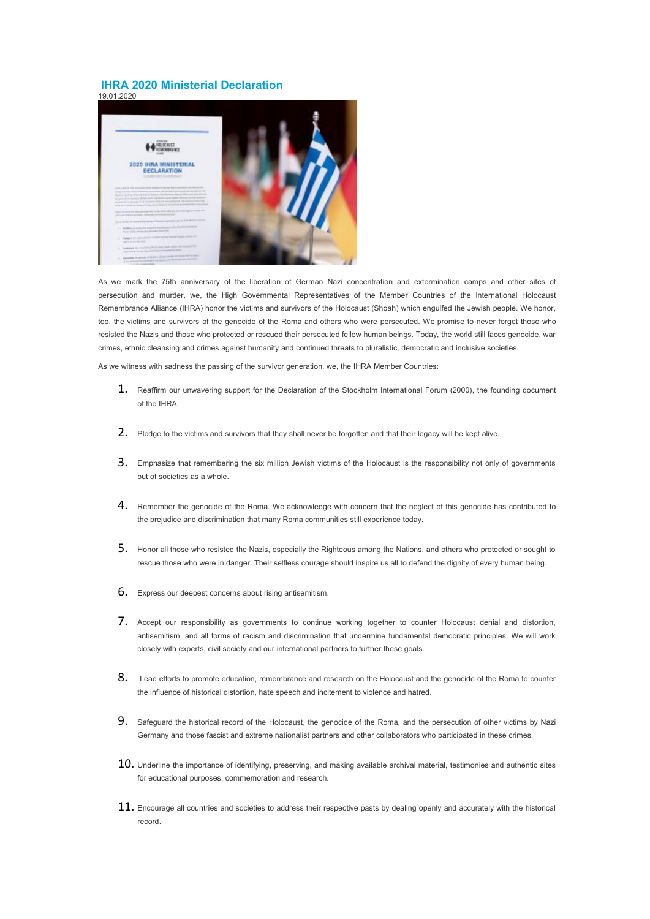## **IHRA 2020 Ministerial Declaration**



As we mark the 75th anniversary of the liberation of German Nazi concentration and extermination camps and other sites of persecution and murder, we, the High Governmental Representatives of the Member Countries of the International Holocaust Remembrance Alliance (IHRA) honor the victims and survivors of the Holocaust (Shoah) which engulfed the Jewish people. We honor, too, the victims and survivors of the genocide of the Roma and others who were persecuted. We promise to never forget those who resisted the Nazis and those who protected or rescued their persecuted fellow human beings. Today, the world still faces genocide, war crimes, ethnic cleansing and crimes against humanity and continued threats to pluralistic, democratic and inclusive societies.

As we witness with sadness the passing of the survivor generation, we, the IHRA Member Countries:

- 1. Reaffirm our unwavering support for the Declaration of the Stockholm International Forum (2000), the founding document of the IHRA.
- 2. Pledge to the victims and survivors that they shall never be forgotten and that their legacy will be kept alive.
- 3. Emphasize that remembering the six million Jewish victims of the Holocaust is the responsibility not only of governments but of societies as a whole.
- 4. Remember the genocide of the Roma. We acknowledge with concern that the neglect of this genocide has contributed to the prejudice and discrimination that many Roma communities still experience today.
- 5. Honor all those who resisted the Nazis, especially the Righteous among the Nations, and others who protected or sought to rescue those who were in danger. Their selfless courage should inspire us all to defend the dignity of every human being.
- 6. Express our deepest concerns about rising antisemitism.
- 7. Accept our responsibility as governments to continue working together to counter Holocaust denial and distortion, antisemitism, and all forms of racism and discrimination that undermine fundamental democratic principles. We will work closely with experts, civil society and our international partners to further these goals.
- 8. Lead efforts to promote education, remembrance and research on the Holocaust and the genocide of the Roma to counter the influence of historical distortion, hate speech and incitement to violence and hatred.
- 9. Safeguard the historical record of the Holocaust, the genocide of the Roma, and the persecution of other victims by Nazi Germany and those fascist and extreme nationalist partners and other collaborators who participated in these crimes.
- $10$ . Underline the importance of identifying, preserving, and making available archival material, testimonies and authentic sites for educational purposes, commemoration and research.
- $11.$  Encourage all countries and societies to address their respective pasts by dealing openly and accurately with the historical record.